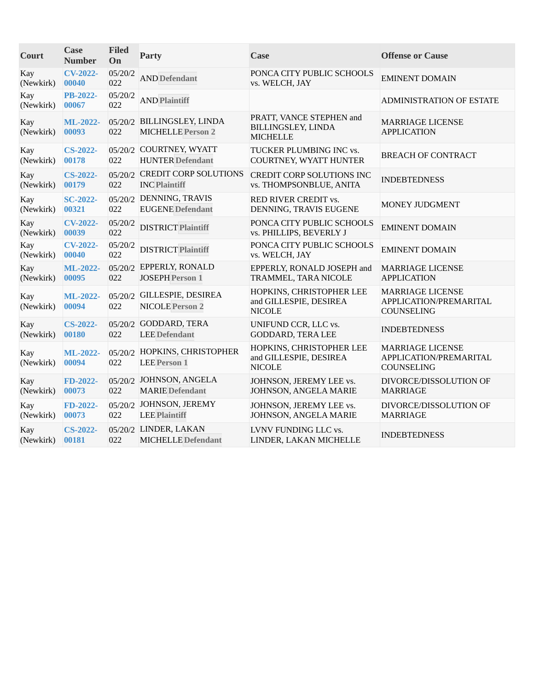| Court            | Case<br><b>Number</b>    | <b>Filed</b><br>On | Party                                                  | Case                                                                | <b>Offense or Cause</b>                                                |
|------------------|--------------------------|--------------------|--------------------------------------------------------|---------------------------------------------------------------------|------------------------------------------------------------------------|
| Kay<br>(Newkirk) | <b>CV-2022-</b><br>00040 | 05/20/2<br>022     | <b>AND Defendant</b>                                   | PONCA CITY PUBLIC SCHOOLS<br>vs. WELCH, JAY                         | <b>EMINENT DOMAIN</b>                                                  |
| Kay<br>(Newkirk) | <b>PB-2022-</b><br>00067 | 05/20/2<br>022     | <b>AND Plaintiff</b>                                   |                                                                     | <b>ADMINISTRATION OF ESTATE</b>                                        |
| Kay<br>(Newkirk) | ML-2022-<br>00093        | 022                | 05/20/2 BILLINGSLEY, LINDA<br><b>MICHELLE Person 2</b> | PRATT, VANCE STEPHEN and<br>BILLINGSLEY, LINDA<br><b>MICHELLE</b>   | <b>MARRIAGE LICENSE</b><br><b>APPLICATION</b>                          |
| Kay<br>(Newkirk) | <b>CS-2022-</b><br>00178 | 022                | 05/20/2 COURTNEY, WYATT<br><b>HUNTER Defendant</b>     | TUCKER PLUMBING INC vs.<br>COURTNEY, WYATT HUNTER                   | <b>BREACH OF CONTRACT</b>                                              |
| Kay<br>(Newkirk) | <b>CS-2022-</b><br>00179 | 022                | 05/20/2 CREDIT CORP SOLUTIONS<br><b>INC Plaintiff</b>  | <b>CREDIT CORP SOLUTIONS INC</b><br>vs. THOMPSONBLUE, ANITA         | <b>INDEBTEDNESS</b>                                                    |
| Kay<br>(Newkirk) | <b>SC-2022-</b><br>00321 | 022                | 05/20/2 DENNING, TRAVIS<br><b>EUGENE</b> Defendant     | RED RIVER CREDIT vs.<br>DENNING, TRAVIS EUGENE                      | MONEY JUDGMENT                                                         |
| Kay<br>(Newkirk) | <b>CV-2022-</b><br>00039 | 05/20/2<br>022     | <b>DISTRICT Plaintiff</b>                              | PONCA CITY PUBLIC SCHOOLS<br>vs. PHILLIPS, BEVERLY J                | <b>EMINENT DOMAIN</b>                                                  |
| Kay<br>(Newkirk) | <b>CV-2022-</b><br>00040 | 05/20/2<br>022     | <b>DISTRICT Plaintiff</b>                              | PONCA CITY PUBLIC SCHOOLS<br>vs. WELCH, JAY                         | <b>EMINENT DOMAIN</b>                                                  |
| Kay<br>(Newkirk) | ML-2022-<br>00095        | 022                | 05/20/2 EPPERLY, RONALD<br><b>JOSEPH Person 1</b>      | EPPERLY, RONALD JOSEPH and<br>TRAMMEL, TARA NICOLE                  | <b>MARRIAGE LICENSE</b><br><b>APPLICATION</b>                          |
| Kay<br>(Newkirk) | ML-2022-<br>00094        | 022                | 05/20/2 GILLESPIE, DESIREA<br><b>NICOLE Person 2</b>   | HOPKINS, CHRISTOPHER LEE<br>and GILLESPIE, DESIREA<br><b>NICOLE</b> | <b>MARRIAGE LICENSE</b><br>APPLICATION/PREMARITAL<br>COUNSELING        |
| Kay<br>(Newkirk) | <b>CS-2022-</b><br>00180 | 022                | 05/20/2 GODDARD, TERA<br><b>LEE Defendant</b>          | UNIFUND CCR, LLC vs.<br><b>GODDARD, TERA LEE</b>                    | <b>INDEBTEDNESS</b>                                                    |
| Kay<br>(Newkirk) | ML-2022-<br>00094        | 022                | 05/20/2 HOPKINS, CHRISTOPHER<br><b>LEE Person 1</b>    | HOPKINS, CHRISTOPHER LEE<br>and GILLESPIE, DESIREA<br><b>NICOLE</b> | <b>MARRIAGE LICENSE</b><br>APPLICATION/PREMARITAL<br><b>COUNSELING</b> |
| Kay<br>(Newkirk) | FD-2022-<br>00073        | 022                | 05/20/2 JOHNSON, ANGELA<br><b>MARIE</b> Defendant      | JOHNSON, JEREMY LEE vs.<br>JOHNSON, ANGELA MARIE                    | DIVORCE/DISSOLUTION OF<br><b>MARRIAGE</b>                              |
| Kay<br>(Newkirk) | FD-2022-<br>00073        | 022                | 05/20/2 JOHNSON, JEREMY<br><b>LEE Plaintiff</b>        | JOHNSON, JEREMY LEE vs.<br>JOHNSON, ANGELA MARIE                    | DIVORCE/DISSOLUTION OF<br><b>MARRIAGE</b>                              |
| Kay<br>(Newkirk) | <b>CS-2022-</b><br>00181 | 022                | 05/20/2 LINDER, LAKAN<br><b>MICHELLE</b> Defendant     | LVNV FUNDING LLC vs.<br>LINDER, LAKAN MICHELLE                      | <b>INDEBTEDNESS</b>                                                    |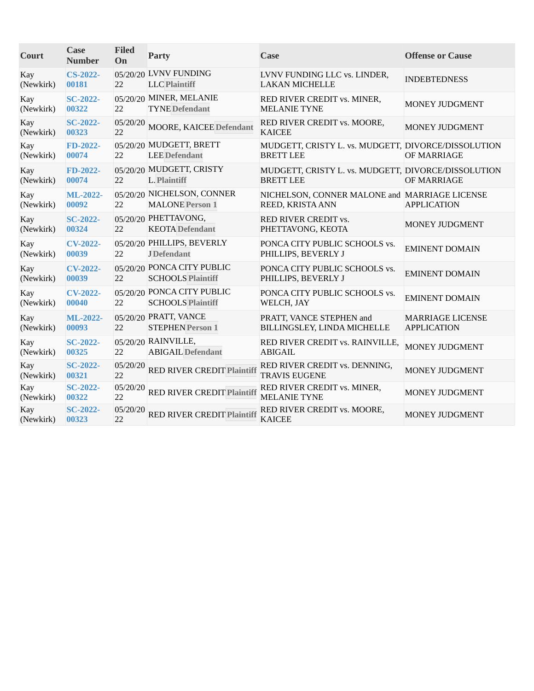| Court            | <b>Case</b><br><b>Number</b> | <b>Filed</b><br>On | Party                                                  | Case                                                                    | <b>Offense or Cause</b>                       |
|------------------|------------------------------|--------------------|--------------------------------------------------------|-------------------------------------------------------------------------|-----------------------------------------------|
| Kay<br>(Newkirk) | <b>CS-2022-</b><br>00181     | 22                 | 05/20/20 LVNV FUNDING<br><b>LLC</b> Plaintiff          | LVNV FUNDING LLC vs. LINDER,<br><b>LAKAN MICHELLE</b>                   | <b>INDEBTEDNESS</b>                           |
| Kay<br>(Newkirk) | <b>SC-2022-</b><br>00322     | 22                 | 05/20/20 MINER, MELANIE<br><b>TYNE</b> Defendant       | RED RIVER CREDIT vs. MINER,<br><b>MELANIE TYNE</b>                      | MONEY JUDGMENT                                |
| Kay<br>(Newkirk) | <b>SC-2022-</b><br>00323     | 05/20/20<br>22     | <b>MOORE, KAICEE Defendant</b>                         | RED RIVER CREDIT vs. MOORE,<br><b>KAICEE</b>                            | MONEY JUDGMENT                                |
| Kay<br>(Newkirk) | FD-2022-<br>00074            | 22                 | 05/20/20 MUDGETT, BRETT<br><b>LEE</b> Defendant        | MUDGETT, CRISTY L. vs. MUDGETT, DIVORCE/DISSOLUTION<br><b>BRETT LEE</b> | OF MARRIAGE                                   |
| Kay<br>(Newkirk) | FD-2022-<br>00074            | 22                 | 05/20/20 MUDGETT, CRISTY<br><b>L. Plaintiff</b>        | MUDGETT, CRISTY L. vs. MUDGETT, DIVORCE/DISSOLUTION<br><b>BRETT LEE</b> | OF MARRIAGE                                   |
| Kay<br>(Newkirk) | <b>ML-2022-</b><br>00092     | 22                 | 05/20/20 NICHELSON, CONNER<br><b>MALONE</b> Person 1   | NICHELSON, CONNER MALONE and MARRIAGE LICENSE<br>REED, KRISTA ANN       | <b>APPLICATION</b>                            |
| Kay<br>(Newkirk) | <b>SC-2022-</b><br>00324     | 22                 | 05/20/20 PHETTAVONG,<br><b>KEOTA</b> Defendant         | RED RIVER CREDIT vs.<br>PHETTAVONG, KEOTA                               | MONEY JUDGMENT                                |
| Kay<br>(Newkirk) | <b>CV-2022-</b><br>00039     | 22                 | 05/20/20 PHILLIPS, BEVERLY<br><b>J</b> Defendant       | PONCA CITY PUBLIC SCHOOLS vs.<br>PHILLIPS, BEVERLY J                    | <b>EMINENT DOMAIN</b>                         |
| Kay<br>(Newkirk) | <b>CV-2022-</b><br>00039     | 22                 | 05/20/20 PONCA CITY PUBLIC<br><b>SCHOOLS Plaintiff</b> | PONCA CITY PUBLIC SCHOOLS vs.<br>PHILLIPS, BEVERLY J                    | <b>EMINENT DOMAIN</b>                         |
| Kay<br>(Newkirk) | <b>CV-2022-</b><br>00040     | 22                 | 05/20/20 PONCA CITY PUBLIC<br><b>SCHOOLS Plaintiff</b> | PONCA CITY PUBLIC SCHOOLS vs.<br>WELCH, JAY                             | <b>EMINENT DOMAIN</b>                         |
| Kay<br>(Newkirk) | ML-2022-<br>00093            | 22                 | 05/20/20 PRATT, VANCE<br><b>STEPHEN Person 1</b>       | PRATT, VANCE STEPHEN and<br>BILLINGSLEY, LINDA MICHELLE                 | <b>MARRIAGE LICENSE</b><br><b>APPLICATION</b> |
| Kay<br>(Newkirk) | <b>SC-2022-</b><br>00325     | 22                 | 05/20/20 RAINVILLE,<br><b>ABIGAIL Defendant</b>        | RED RIVER CREDIT vs. RAINVILLE,<br><b>ABIGAIL</b>                       | MONEY JUDGMENT                                |
| Kay<br>(Newkirk) | <b>SC-2022-</b><br>00321     | 05/20/20<br>22     | RED RIVER CREDIT Plaintiff                             | RED RIVER CREDIT vs. DENNING,<br><b>TRAVIS EUGENE</b>                   | MONEY JUDGMENT                                |
| Kay<br>(Newkirk) | <b>SC-2022-</b><br>00322     | 05/20/20<br>22     | <b>RED RIVER CREDIT Plaintiff</b>                      | RED RIVER CREDIT vs. MINER,<br><b>MELANIE TYNE</b>                      | MONEY JUDGMENT                                |
| Kay<br>(Newkirk) | <b>SC-2022-</b><br>00323     | 05/20/20<br>22     | <b>RED RIVER CREDIT Plaintiff</b>                      | RED RIVER CREDIT vs. MOORE,<br><b>KAICEE</b>                            | MONEY JUDGMENT                                |